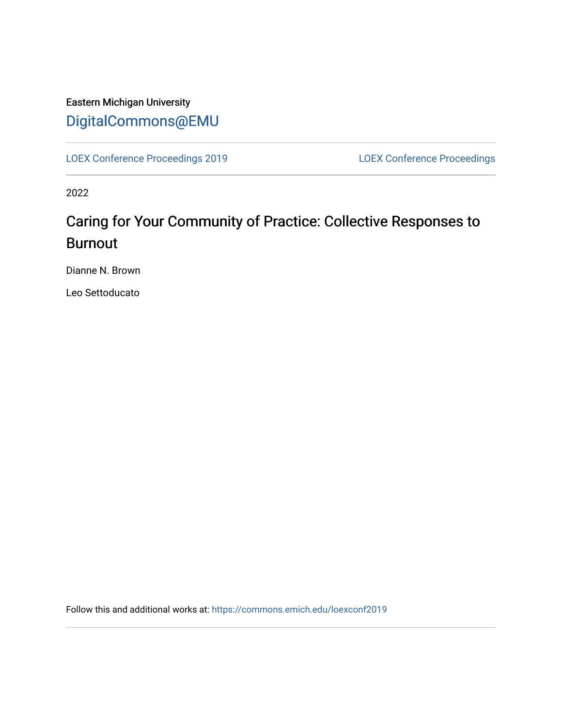## Eastern Michigan University [DigitalCommons@EMU](https://commons.emich.edu/)

[LOEX Conference Proceedings 2019](https://commons.emich.edu/loexconf2019) [LOEX Conference Proceedings](https://commons.emich.edu/loexconf) 

2022

## Caring for Your Community of Practice: Collective Responses to Burnout

Dianne N. Brown

Leo Settoducato

Follow this and additional works at: [https://commons.emich.edu/loexconf2019](https://commons.emich.edu/loexconf2019?utm_source=commons.emich.edu%2Floexconf2019%2F7&utm_medium=PDF&utm_campaign=PDFCoverPages)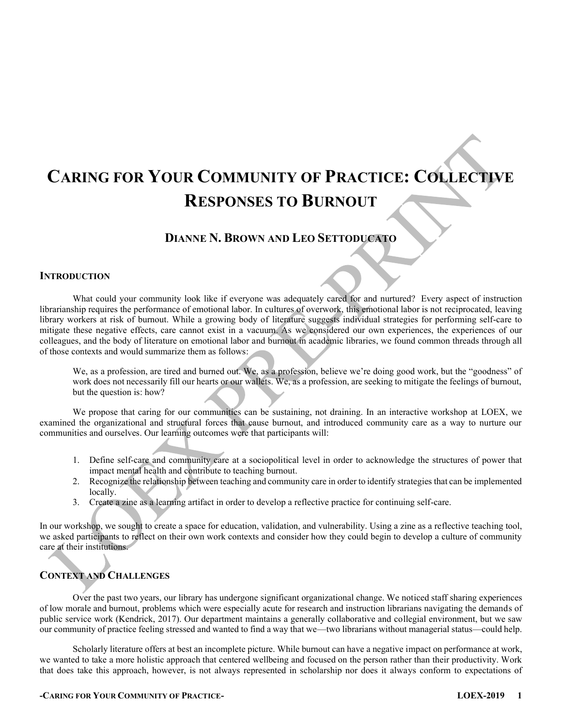# **CARING FOR YOUR COMMUNITY OF PRACTICE: COLLECTIVE RESPONSES TO BURNOUT**

### **DIANNE N. BROWN AND LEO SETTODUCATO**

#### **INTRODUCTION**

What could your community look like if everyone was adequately cared for and nurtured? Every aspect of instruction librarianship requires the performance of emotional labor. In cultures of overwork, this emotional labor is not reciprocated, leaving library workers at risk of burnout. While a growing body of literature suggests individual strategies for performing self-care to mitigate these negative effects, care cannot exist in a vacuum. As we considered our own experiences, the experiences of our colleagues, and the body of literature on emotional labor and burnout in academic libraries, we found common threads through all of those contexts and would summarize them as follows:

We, as a profession, are tired and burned out. We, as a profession, believe we're doing good work, but the "goodness" of work does not necessarily fill our hearts or our wallets. We, as a profession, are seeking to mitigate the feelings of burnout, but the question is: how?

We propose that caring for our communities can be sustaining, not draining. In an interactive workshop at LOEX, we examined the organizational and structural forces that cause burnout, and introduced community care as a way to nurture our communities and ourselves. Our learning outcomes were that participants will:

- 1. Define self-care and community care at a sociopolitical level in order to acknowledge the structures of power that impact mental health and contribute to teaching burnout.
- 2. Recognize the relationship between teaching and community care in order to identify strategies that can be implemented locally.
- 3. Create a zine as a learning artifact in order to develop a reflective practice for continuing self-care.

In our workshop, we sought to create a space for education, validation, and vulnerability. Using a zine as a reflective teaching tool, we asked participants to reflect on their own work contexts and consider how they could begin to develop a culture of community care at their institutions.

### **CONTEXT AND CHALLENGES**

Over the past two years, our library has undergone significant organizational change. We noticed staff sharing experiences of low morale and burnout, problems which were especially acute for research and instruction librarians navigating the demands of public service work (Kendrick, 2017). Our department maintains a generally collaborative and collegial environment, but we saw our community of practice feeling stressed and wanted to find a way that we—two librarians without managerial status—could help.

Scholarly literature offers at best an incomplete picture. While burnout can have a negative impact on performance at work, we wanted to take a more holistic approach that centered wellbeing and focused on the person rather than their productivity. Work that does take this approach, however, is not always represented in scholarship nor does it always conform to expectations of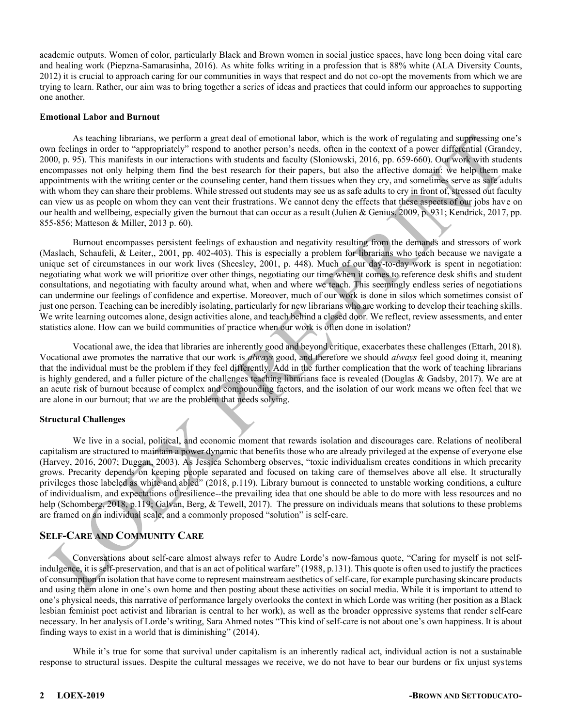academic outputs. Women of color, particularly Black and Brown women in social justice spaces, have long been doing vital care and healing work (Piepzna-Samarasinha, 2016). As white folks writing in a profession that is 88% white (ALA Diversity Counts, 2012) it is crucial to approach caring for our communities in ways that respect and do not co-opt the movements from which we are trying to learn. Rather, our aim was to bring together a series of ideas and practices that could inform our approaches to supporting one another.

#### **Emotional Labor and Burnout**

As teaching librarians, we perform a great deal of emotional labor, which is the work of regulating and suppressing one's own feelings in order to "appropriately" respond to another person's needs, often in the context of a power differential (Grandey, 2000, p. 95). This manifests in our interactions with students and faculty (Sloniowski, 2016, pp. 659-660). Our work with students encompasses not only helping them find the best research for their papers, but also the affective domain: we help them make appointments with the writing center or the counseling center, hand them tissues when they cry, and sometimes serve as safe adults with whom they can share their problems. While stressed out students may see us as safe adults to cry in front of, stressed out faculty can view us as people on whom they can vent their frustrations. We cannot deny the effects that these aspects of our jobs have on our health and wellbeing, especially given the burnout that can occur as a result (Julien & Genius, 2009, p. 931; Kendrick, 2017, pp. 855-856; Matteson & Miller, 2013 p. 60).

Burnout encompasses persistent feelings of exhaustion and negativity resulting from the demands and stressors of work (Maslach, Schaufeli, & Leiter,, 2001, pp. 402-403). This is especially a problem for librarians who teach because we navigate a unique set of circumstances in our work lives (Sheesley, 2001, p. 448). Much of our day-to-day work is spent in negotiation: negotiating what work we will prioritize over other things, negotiating our time when it comes to reference desk shifts and student consultations, and negotiating with faculty around what, when and where we teach. This seemingly endless series of negotiations can undermine our feelings of confidence and expertise. Moreover, much of our work is done in silos which sometimes consist of just one person. Teaching can be incredibly isolating, particularly for new librarians who are working to develop their teaching skills. We write learning outcomes alone, design activities alone, and teach behind a closed door. We reflect, review assessments, and enter statistics alone. How can we build communities of practice when our work is often done in isolation?

Vocational awe, the idea that libraries are inherently good and beyond critique, exacerbates these challenges (Ettarh, 2018). Vocational awe promotes the narrative that our work is *always* good, and therefore we should *always* feel good doing it, meaning that the individual must be the problem if they feel differently. Add in the further complication that the work of teaching librarians is highly gendered, and a fuller picture of the challenges teaching librarians face is revealed (Douglas & Gadsby, 2017). We are at an acute risk of burnout because of complex and compounding factors, and the isolation of our work means we often feel that we are alone in our burnout; that *we* are the problem that needs solving.

#### **Structural Challenges**

We live in a social, political, and economic moment that rewards isolation and discourages care. Relations of neoliberal capitalism are structured to maintain a power dynamic that benefits those who are already privileged at the expense of everyone else (Harvey, 2016, 2007; Duggan, 2003). As Jessica Schomberg observes, "toxic individualism creates conditions in which precarity grows. Precarity depends on keeping people separated and focused on taking care of themselves above all else. It structurally privileges those labeled as white and abled" (2018, p.119). Library burnout is connected to unstable working conditions, a culture of individualism, and expectations of resilience--the prevailing idea that one should be able to do more with less resources and no help (Schomberg, 2018, p.119; Galvan, Berg, & Tewell, 2017). The pressure on individuals means that solutions to these problems are framed on an individual scale, and a commonly proposed "solution" is self-care.

#### **SELF-CARE AND COMMUNITY CARE**

Conversations about self-care almost always refer to Audre Lorde's now-famous quote, "Caring for myself is not selfindulgence, it is self-preservation, and that is an act of political warfare" (1988, p.131). This quote is often used to justify the practices of consumption in isolation that have come to represent mainstream aesthetics of self-care, for example purchasing skincare products and using them alone in one's own home and then posting about these activities on social media. While it is important to attend to one's physical needs, this narrative of performance largely overlooks the context in which Lorde was writing (her position as a Black lesbian feminist poet activist and librarian is central to her work), as well as the broader oppressive systems that render self-care necessary. In her analysis of Lorde's writing, Sara Ahmed notes "This kind of self-care is not about one's own happiness. It is about finding ways to exist in a world that is diminishing"  $(2014)$ .

While it's true for some that survival under capitalism is an inherently radical act, individual action is not a sustainable response to structural issues. Despite the cultural messages we receive, we do not have to bear our burdens or fix unjust systems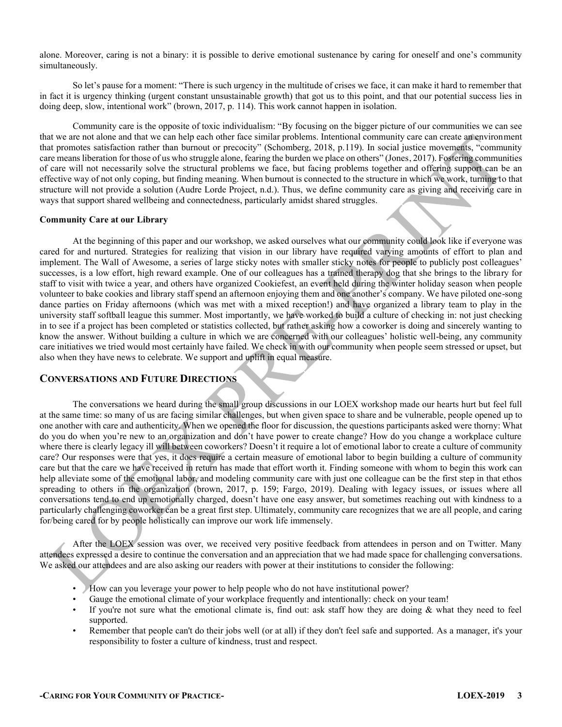alone. Moreover, caring is not a binary: it is possible to derive emotional sustenance by caring for oneself and one's community simultaneously.

So let's pause for a moment: "There is such urgency in the multitude of crises we face, it can make it hard to remember that in fact it is urgency thinking (urgent constant unsustainable growth) that got us to this point, and that our potential success lies in doing deep, slow, intentional work" (brown, 2017, p. 114). This work cannot happen in isolation.

Community care is the opposite of toxic individualism: "By focusing on the bigger picture of our communities we can see that we are not alone and that we can help each other face similar problems. Intentional community care can create an environment that promotes satisfaction rather than burnout or precocity" (Schomberg, 2018, p.119). In social justice movements, "community care means liberation for those of us who struggle alone, fearing the burden we place on others" (Jones, 2017). Fostering communities of care will not necessarily solve the structural problems we face, but facing problems together and offering support can be an effective way of not only coping, but finding meaning. When burnout is connected to the structure in which we work, turning to that structure will not provide a solution (Audre Lorde Project, n.d.). Thus, we define community care as giving and receiving care in ways that support shared wellbeing and connectedness, particularly amidst shared struggles.

#### **Community Care at our Library**

At the beginning of this paper and our workshop, we asked ourselves what our community could look like if everyone was cared for and nurtured. Strategies for realizing that vision in our library have required varying amounts of effort to plan and implement. The Wall of Awesome, a series of large sticky notes with smaller sticky notes for people to publicly post colleagues' successes, is a low effort, high reward example. One of our colleagues has a trained therapy dog that she brings to the library for staff to visit with twice a year, and others have organized Cookiefest, an event held during the winter holiday season when people volunteer to bake cookies and library staff spend an afternoon enjoying them and one another's company. We have piloted one-song dance parties on Friday afternoons (which was met with a mixed reception!) and have organized a library team to play in the university staff softball league this summer. Most importantly, we have worked to build a culture of checking in: not just checking in to see if a project has been completed or statistics collected, but rather asking how a coworker is doing and sincerely wanting to know the answer. Without building a culture in which we are concerned with our colleagues' holistic well-being, any community care initiatives we tried would most certainly have failed. We check in with our community when people seem stressed or upset, but also when they have news to celebrate. We support and uplift in equal measure.

#### **CONVERSATIONS AND FUTURE DIRECTIONS**

The conversations we heard during the small group discussions in our LOEX workshop made our hearts hurt but feel full at the same time: so many of us are facing similar challenges, but when given space to share and be vulnerable, people opened up to one another with care and authenticity. When we opened the floor for discussion, the questions participants asked were thorny: What do you do when you're new to an organization and don't have power to create change? How do you change a workplace culture where there is clearly legacy ill will between coworkers? Doesn't it require a lot of emotional labor to create a culture of community care? Our responses were that yes, it does require a certain measure of emotional labor to begin building a culture of community care but that the care we have received in return has made that effort worth it. Finding someone with whom to begin this work can help alleviate some of the emotional labor, and modeling community care with just one colleague can be the first step in that ethos spreading to others in the organization (brown, 2017, p. 159; Fargo, 2019). Dealing with legacy issues, or issues where all conversations tend to end up emotionally charged, doesn't have one easy answer, but sometimes reaching out with kindness to a particularly challenging coworker can be a great first step. Ultimately, community care recognizes that we are all people, and caring for/being cared for by people holistically can improve our work life immensely.

After the LOEX session was over, we received very positive feedback from attendees in person and on Twitter. Many attendees expressed a desire to continue the conversation and an appreciation that we had made space for challenging conversations. We asked our attendees and are also asking our readers with power at their institutions to consider the following:

- How can you leverage your power to help people who do not have institutional power?
- Gauge the emotional climate of your workplace frequently and intentionally: check on your team!
- If you're not sure what the emotional climate is, find out: ask staff how they are doing  $\&$  what they need to feel supported.
- Remember that people can't do their jobs well (or at all) if they don't feel safe and supported. As a manager, it's your responsibility to foster a culture of kindness, trust and respect.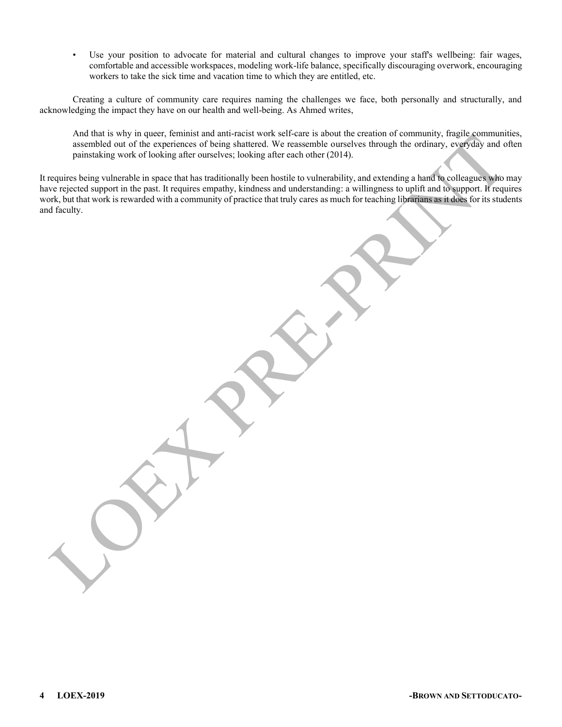Use your position to advocate for material and cultural changes to improve your staff's wellbeing: fair wages, comfortable and accessible workspaces, modeling work-life balance, specifically discouraging overwork, encouraging workers to take the sick time and vacation time to which they are entitled, etc.

Creating a culture of community care requires naming the challenges we face, both personally and structurally, and acknowledging the impact they have on our health and well-being. As Ahmed writes,

And that is why in queer, feminist and anti-racist work self-care is about the creation of community, fragile communities, assembled out of the experiences of being shattered. We reassemble ourselves through the ordinary, everyday and often painstaking work of looking after ourselves; looking after each other (2014).

It requires being vulnerable in space that has traditionally been hostile to vulnerability, and extending a hand to colleagues who may have rejected support in the past. It requires empathy, kindness and understanding: a willingness to uplift and to support. It requires work, but that work is rewarded with a community of practice that truly cares as much for teaching librarians as it does for its students and faculty.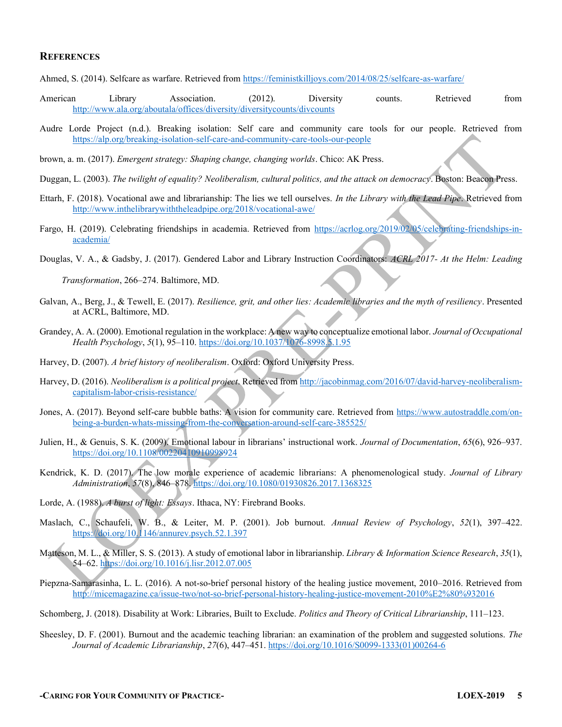#### **REFERENCES**

Ahmed, S. (2014). Selfcare as warfare. Retrieved from<https://feministkilljoys.com/2014/08/25/selfcare-as-warfare/>

- American Library Association. (2012). Diversity counts. Retrieved from <http://www.ala.org/aboutala/offices/diversity/diversitycounts/divcounts>
- Audre Lorde Project (n.d.). Breaking isolation: Self care and community care tools for our people. Retrieved from <https://alp.org/breaking-isolation-self-care-and-community-care-tools-our-people>

brown, a. m. (2017). *Emergent strategy: Shaping change, changing worlds*. Chico: AK Press.

- Duggan, L. (2003). *The twilight of equality? Neoliberalism, cultural politics, and the attack on democracy*. Boston: Beacon Press.
- Ettarh, F. (2018). Vocational awe and librarianship: The lies we tell ourselves. *In the Library with the Lead Pipe*. Retrieved from <http://www.inthelibrarywiththeleadpipe.org/2018/vocational-awe/>
- Fargo, H. (2019). Celebrating friendships in academia. Retrieved from [https://acrlog.org/2019/02/05/celebrating-friendships-in](https://acrlog.org/2019/02/05/celebrating-friendships-in-academia/)[academia/](https://acrlog.org/2019/02/05/celebrating-friendships-in-academia/)
- Douglas, V. A., & Gadsby, J. (2017). Gendered Labor and Library Instruction Coordinators: *ACRL 2017- At the Helm: Leading*

*Transformation*, 266-274. Baltimore, MD.

- Galvan, A., Berg, J., & Tewell, E. (2017). *Resilience, grit, and other lies: Academic libraries and the myth of resiliency*. Presented at ACRL, Baltimore, MD.
- Grandey, A. A. (2000). Emotional regulation in the workplace: A new way to conceptualize emotional labor. *Journal of Occupational Health Psychology*, *5*(1), 95-110[. https://doi.org/10.1037/1076-8998.5.1.95](https://doi.org/10.1037/1076-8998.5.1.95)
- Harvey, D. (2007). *A brief history of neoliberalism*. Oxford: Oxford University Press.
- Harvey, D. (2016). *Neoliberalism is a political project*. Retrieved fro[m http://jacobinmag.com/2016/07/david-harvey-neoliberalism](http://jacobinmag.com/2016/07/david-harvey-neoliberalism-capitalism-labor-crisis-resistance/)[capitalism-labor-crisis-resistance/](http://jacobinmag.com/2016/07/david-harvey-neoliberalism-capitalism-labor-crisis-resistance/)
- Jones, A. (2017). Beyond self-care bubble baths: A vision for community care. Retrieved from [https://www.autostraddle.com/on](https://www.autostraddle.com/on-being-a-burden-whats-missing-from-the-conversation-around-self-care-385525/)[being-a-burden-whats-missing-from-the-conversation-around-self-care-385525/](https://www.autostraddle.com/on-being-a-burden-whats-missing-from-the-conversation-around-self-care-385525/)
- Julien, H., & Genuis, S. K. (2009). Emotional labour in librarians' instructional work. *Journal of Documentation*, 65(6), 926–937. <https://doi.org/10.1108/00220410910998924>
- Kendrick, K. D. (2017). The low morale experience of academic librarians: A phenomenological study. *Journal of Library Administration*, *57*(8), 846±878.<https://doi.org/10.1080/01930826.2017.1368325>
- Lorde, A. (1988). *A burst of light: Essays*. Ithaca, NY: Firebrand Books.
- Maslach, C., Schaufeli, W. B., & Leiter, M. P. (2001). Job burnout. *Annual Review of Psychology*, 52(1), 397-422. <https://doi.org/10.1146/annurev.psych.52.1.397>
- Matteson, M. L., & Miller, S. S. (2013). A study of emotional labor in librarianship. *Library & Information Science Research*, *35*(1), 54–62.<https://doi.org/10.1016/j.lisr.2012.07.005>
- Piepzna-Samarasinha, L. L. (2016). A not-so-brief personal history of the healing justice movement, 2010–2016. Retrieved from <http://micemagazine.ca/issue-two/not-so-brief-personal-history-healing-justice-movement-2010%E2%80%932016>
- Schomberg, J. (2018). Disability at Work: Libraries, Built to Exclude. *Politics and Theory of Critical Librarianship*, 111–123.
- Sheesley, D. F. (2001). Burnout and the academic teaching librarian: an examination of the problem and suggested solutions. *The*  Journal of Academic Librarianship, 27(6), 447-451. [https://doi.org/10.1016/S0099-1333\(01\)00264-6](https://doi.org/10.1016/S0099-1333(01)00264-6)